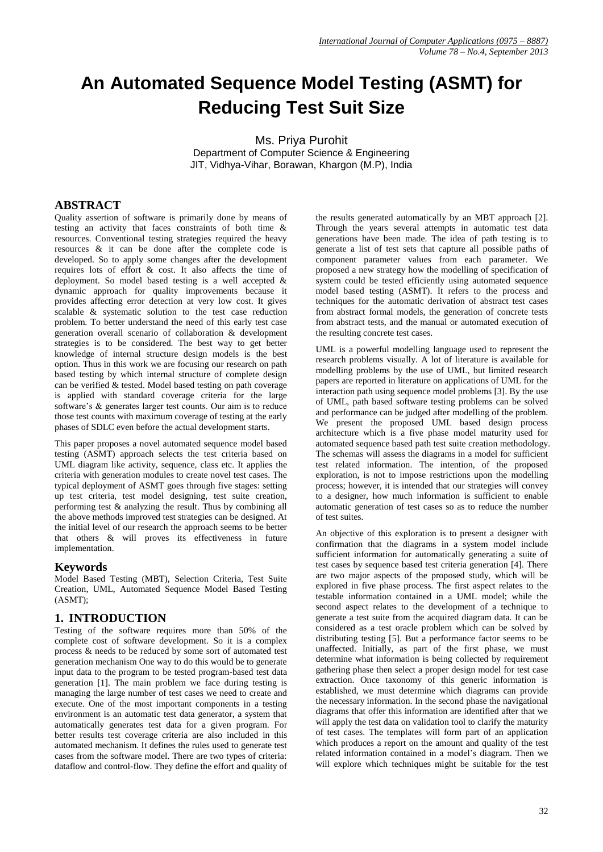# **An Automated Sequence Model Testing (ASMT) for Reducing Test Suit Size**

Ms. Priya Purohit Department of Computer Science & Engineering JIT, Vidhya-Vihar, Borawan, Khargon (M.P), India

# **ABSTRACT**

Quality assertion of software is primarily done by means of testing an activity that faces constraints of both time & resources. Conventional testing strategies required the heavy resources & it can be done after the complete code is developed. So to apply some changes after the development requires lots of effort & cost. It also affects the time of deployment. So model based testing is a well accepted & dynamic approach for quality improvements because it provides affecting error detection at very low cost. It gives scalable & systematic solution to the test case reduction problem. To better understand the need of this early test case generation overall scenario of collaboration & development strategies is to be considered. The best way to get better knowledge of internal structure design models is the best option. Thus in this work we are focusing our research on path based testing by which internal structure of complete design can be verified & tested. Model based testing on path coverage is applied with standard coverage criteria for the large software's & generates larger test counts. Our aim is to reduce those test counts with maximum coverage of testing at the early phases of SDLC even before the actual development starts.

This paper proposes a novel automated sequence model based testing (ASMT) approach selects the test criteria based on UML diagram like activity, sequence, class etc. It applies the criteria with generation modules to create novel test cases. The typical deployment of ASMT goes through five stages: setting up test criteria, test model designing, test suite creation, performing test & analyzing the result. Thus by combining all the above methods improved test strategies can be designed. At the initial level of our research the approach seems to be better that others & will proves its effectiveness in future implementation.

## **Keywords**

Model Based Testing (MBT), Selection Criteria, Test Suite Creation, UML, Automated Sequence Model Based Testing (ASMT);

## **1. INTRODUCTION**

Testing of the software requires more than 50% of the complete cost of software development. So it is a complex process & needs to be reduced by some sort of automated test generation mechanism One way to do this would be to generate input data to the program to be tested program-based test data generation [1]. The main problem we face during testing is managing the large number of test cases we need to create and execute. One of the most important components in a testing environment is an automatic test data generator, a system that automatically generates test data for a given program. For better results test coverage criteria are also included in this automated mechanism. It defines the rules used to generate test cases from the software model. There are two types of criteria: dataflow and control-flow. They define the effort and quality of the results generated automatically by an MBT approach [2]. Through the years several attempts in automatic test data generations have been made. The idea of path testing is to generate a list of test sets that capture all possible paths of component parameter values from each parameter. We proposed a new strategy how the modelling of specification of system could be tested efficiently using automated sequence model based testing (ASMT). It refers to the process and techniques for the automatic derivation of abstract test cases from abstract formal models, the generation of concrete tests from abstract tests, and the manual or automated execution of the resulting concrete test cases.

UML is a powerful modelling language used to represent the research problems visually. A lot of literature is available for modelling problems by the use of UML, but limited research papers are reported in literature on applications of UML for the interaction path using sequence model problems [3]. By the use of UML, path based software testing problems can be solved and performance can be judged after modelling of the problem. We present the proposed UML based design process architecture which is a five phase model maturity used for automated sequence based path test suite creation methodology. The schemas will assess the diagrams in a model for sufficient test related information. The intention, of the proposed exploration, is not to impose restrictions upon the modelling process; however, it is intended that our strategies will convey to a designer, how much information is sufficient to enable automatic generation of test cases so as to reduce the number of test suites.

An objective of this exploration is to present a designer with confirmation that the diagrams in a system model include sufficient information for automatically generating a suite of test cases by sequence based test criteria generation [4]. There are two major aspects of the proposed study, which will be explored in five phase process. The first aspect relates to the testable information contained in a UML model; while the second aspect relates to the development of a technique to generate a test suite from the acquired diagram data. It can be considered as a test oracle problem which can be solved by distributing testing [5]. But a performance factor seems to be unaffected. Initially, as part of the first phase, we must determine what information is being collected by requirement gathering phase then select a proper design model for test case extraction. Once taxonomy of this generic information is established, we must determine which diagrams can provide the necessary information. In the second phase the navigational diagrams that offer this information are identified after that we will apply the test data on validation tool to clarify the maturity of test cases. The templates will form part of an application which produces a report on the amount and quality of the test related information contained in a model's diagram. Then we will explore which techniques might be suitable for the test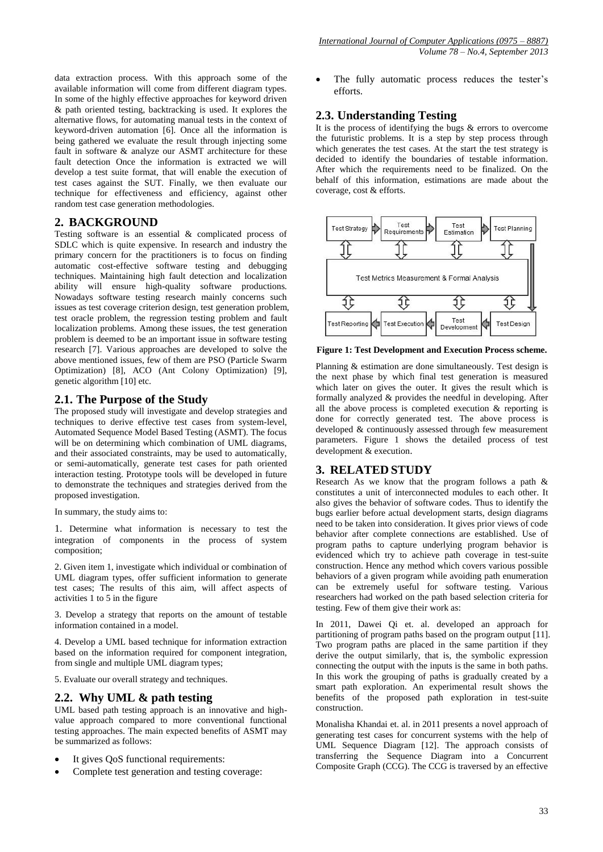data extraction process. With this approach some of the available information will come from different diagram types. In some of the highly effective approaches for keyword driven & path oriented testing, backtracking is used. It explores the alternative flows, for automating manual tests in the context of keyword-driven automation [6]. Once all the information is being gathered we evaluate the result through injecting some fault in software & analyze our ASMT architecture for these fault detection Once the information is extracted we will develop a test suite format, that will enable the execution of test cases against the SUT. Finally, we then evaluate our technique for effectiveness and efficiency, against other random test case generation methodologies.

# **2. BACKGROUND**

Testing software is an essential & complicated process of SDLC which is quite expensive. In research and industry the primary concern for the practitioners is to focus on finding automatic cost-effective software testing and debugging techniques. Maintaining high fault detection and localization ability will ensure high-quality software productions. Nowadays software testing research mainly concerns such issues as test coverage criterion design, test generation problem, test oracle problem, the regression testing problem and fault localization problems. Among these issues, the test generation problem is deemed to be an important issue in software testing research [7]. Various approaches are developed to solve the above mentioned issues, few of them are PSO (Particle Swarm Optimization) [8], ACO (Ant Colony Optimization) [9], genetic algorithm [10] etc.

## **2.1. The Purpose of the Study**

The proposed study will investigate and develop strategies and techniques to derive effective test cases from system-level, Automated Sequence Model Based Testing (ASMT). The focus will be on determining which combination of UML diagrams, and their associated constraints, may be used to automatically, or semi-automatically, generate test cases for path oriented interaction testing. Prototype tools will be developed in future to demonstrate the techniques and strategies derived from the proposed investigation.

In summary, the study aims to:

1. Determine what information is necessary to test the integration of components in the process of system composition;

2. Given item 1, investigate which individual or combination of UML diagram types, offer sufficient information to generate test cases; The results of this aim, will affect aspects of activities 1 to 5 in the figure

3. Develop a strategy that reports on the amount of testable information contained in a model.

4. Develop a UML based technique for information extraction based on the information required for component integration, from single and multiple UML diagram types;

5. Evaluate our overall strategy and techniques.

## **2.2. Why UML & path testing**

UML based path testing approach is an innovative and highvalue approach compared to more conventional functional testing approaches. The main expected benefits of ASMT may be summarized as follows:

- It gives QoS functional requirements:
- Complete test generation and testing coverage:

 The fully automatic process reduces the tester's efforts.

## **2.3. Understanding Testing**

It is the process of identifying the bugs & errors to overcome the futuristic problems. It is a step by step process through which generates the test cases. At the start the test strategy is decided to identify the boundaries of testable information. After which the requirements need to be finalized. On the behalf of this information, estimations are made about the coverage, cost & efforts.



**Figure 1: Test Development and Execution Process scheme.**

Planning & estimation are done simultaneously. Test design is the next phase by which final test generation is measured which later on gives the outer. It gives the result which is formally analyzed & provides the needful in developing. After all the above process is completed execution & reporting is done for correctly generated test. The above process is developed & continuously assessed through few measurement parameters. Figure 1 shows the detailed process of test development & execution.

## **3. RELATED STUDY**

Research As we know that the program follows a path & constitutes a unit of interconnected modules to each other. It also gives the behavior of software codes. Thus to identify the bugs earlier before actual development starts, design diagrams need to be taken into consideration. It gives prior views of code behavior after complete connections are established. Use of program paths to capture underlying program behavior is evidenced which try to achieve path coverage in test-suite construction. Hence any method which covers various possible behaviors of a given program while avoiding path enumeration can be extremely useful for software testing. Various researchers had worked on the path based selection criteria for testing. Few of them give their work as:

In 2011, Dawei Qi et. al. developed an approach for partitioning of program paths based on the program output [11]. Two program paths are placed in the same partition if they derive the output similarly, that is, the symbolic expression connecting the output with the inputs is the same in both paths. In this work the grouping of paths is gradually created by a smart path exploration. An experimental result shows the benefits of the proposed path exploration in test-suite construction.

Monalisha Khandai et. al. in 2011 presents a novel approach of generating test cases for concurrent systems with the help of UML Sequence Diagram [12]. The approach consists of transferring the Sequence Diagram into a Concurrent Composite Graph (CCG). The CCG is traversed by an effective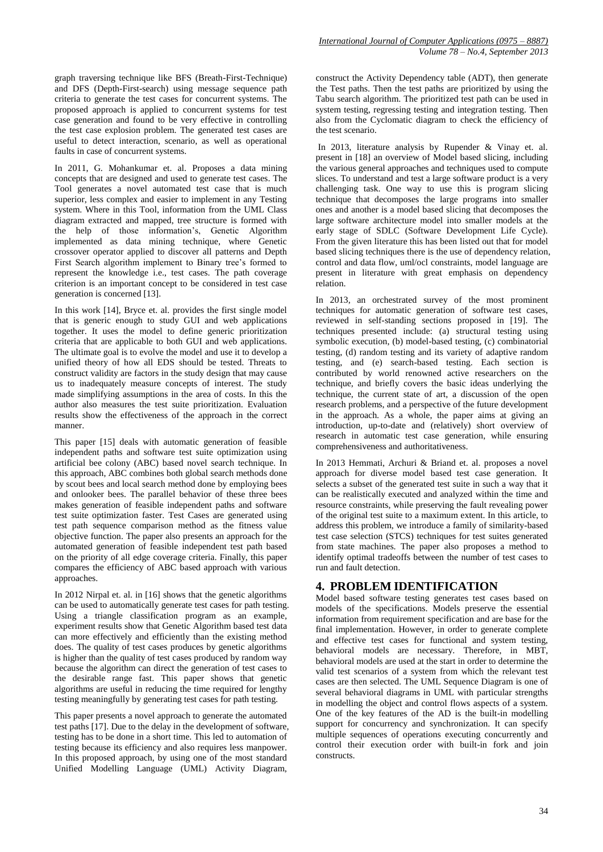graph traversing technique like BFS (Breath-First-Technique) and DFS (Depth-First-search) using message sequence path criteria to generate the test cases for concurrent systems. The proposed approach is applied to concurrent systems for test case generation and found to be very effective in controlling the test case explosion problem. The generated test cases are useful to detect interaction, scenario, as well as operational faults in case of concurrent systems.

In 2011, G. Mohankumar et. al. Proposes a data mining concepts that are designed and used to generate test cases. The Tool generates a novel automated test case that is much superior, less complex and easier to implement in any Testing system. Where in this Tool, information from the UML Class diagram extracted and mapped, tree structure is formed with the help of those information's, Genetic Algorithm implemented as data mining technique, where Genetic crossover operator applied to discover all patterns and Depth First Search algorithm implement to Binary tree's formed to represent the knowledge i.e., test cases. The path coverage criterion is an important concept to be considered in test case generation is concerned [13].

In this work [14], Bryce et. al. provides the first single model that is generic enough to study GUI and web applications together. It uses the model to define generic prioritization criteria that are applicable to both GUI and web applications. The ultimate goal is to evolve the model and use it to develop a unified theory of how all EDS should be tested. Threats to construct validity are factors in the study design that may cause us to inadequately measure concepts of interest. The study made simplifying assumptions in the area of costs. In this the author also measures the test suite prioritization. Evaluation results show the effectiveness of the approach in the correct manner.

This paper [15] deals with automatic generation of feasible independent paths and software test suite optimization using artificial bee colony (ABC) based novel search technique. In this approach, ABC combines both global search methods done by scout bees and local search method done by employing bees and onlooker bees. The parallel behavior of these three bees makes generation of feasible independent paths and software test suite optimization faster. Test Cases are generated using test path sequence comparison method as the fitness value objective function. The paper also presents an approach for the automated generation of feasible independent test path based on the priority of all edge coverage criteria. Finally, this paper compares the efficiency of ABC based approach with various approaches.

In 2012 Nirpal et. al. in [16] shows that the genetic algorithms can be used to automatically generate test cases for path testing. Using a triangle classification program as an example, experiment results show that Genetic Algorithm based test data can more effectively and efficiently than the existing method does. The quality of test cases produces by genetic algorithms is higher than the quality of test cases produced by random way because the algorithm can direct the generation of test cases to the desirable range fast. This paper shows that genetic algorithms are useful in reducing the time required for lengthy testing meaningfully by generating test cases for path testing.

This paper presents a novel approach to generate the automated test paths [17]. Due to the delay in the development of software, testing has to be done in a short time. This led to automation of testing because its efficiency and also requires less manpower. In this proposed approach, by using one of the most standard Unified Modelling Language (UML) Activity Diagram,

construct the Activity Dependency table (ADT), then generate the Test paths. Then the test paths are prioritized by using the Tabu search algorithm. The prioritized test path can be used in system testing, regressing testing and integration testing. Then also from the Cyclomatic diagram to check the efficiency of the test scenario.

In 2013, literature analysis by Rupender & Vinay et. al. present in [18] an overview of Model based slicing, including the various general approaches and techniques used to compute slices. To understand and test a large software product is a very challenging task. One way to use this is program slicing technique that decomposes the large programs into smaller ones and another is a model based slicing that decomposes the large software architecture model into smaller models at the early stage of SDLC (Software Development Life Cycle). From the given literature this has been listed out that for model based slicing techniques there is the use of dependency relation, control and data flow, uml/ocl constraints, model language are present in literature with great emphasis on dependency relation.

In 2013, an orchestrated survey of the most prominent techniques for automatic generation of software test cases, reviewed in self-standing sections proposed in [19]. The techniques presented include: (a) structural testing using symbolic execution, (b) model-based testing, (c) combinatorial testing, (d) random testing and its variety of adaptive random testing, and (e) search-based testing. Each section is contributed by world renowned active researchers on the technique, and briefly covers the basic ideas underlying the technique, the current state of art, a discussion of the open research problems, and a perspective of the future development in the approach. As a whole, the paper aims at giving an introduction, up-to-date and (relatively) short overview of research in automatic test case generation, while ensuring comprehensiveness and authoritativeness.

In 2013 Hemmati, Archuri & Briand et. al. proposes a novel approach for diverse model based test case generation. It selects a subset of the generated test suite in such a way that it can be realistically executed and analyzed within the time and resource constraints, while preserving the fault revealing power of the original test suite to a maximum extent. In this article, to address this problem, we introduce a family of similarity-based test case selection (STCS) techniques for test suites generated from state machines. The paper also proposes a method to identify optimal tradeoffs between the number of test cases to run and fault detection.

## **4. PROBLEM IDENTIFICATION**

Model based software testing generates test cases based on models of the specifications. Models preserve the essential information from requirement specification and are base for the final implementation. However, in order to generate complete and effective test cases for functional and system testing, behavioral models are necessary. Therefore, in MBT, behavioral models are used at the start in order to determine the valid test scenarios of a system from which the relevant test cases are then selected. The UML Sequence Diagram is one of several behavioral diagrams in UML with particular strengths in modelling the object and control flows aspects of a system. One of the key features of the AD is the built-in modelling support for concurrency and synchronization. It can specify multiple sequences of operations executing concurrently and control their execution order with built-in fork and join constructs.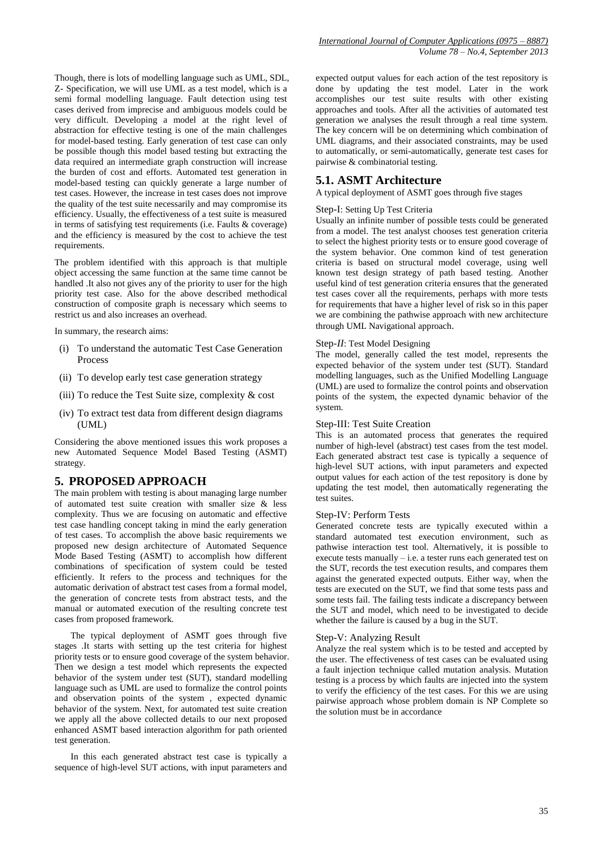Though, there is lots of modelling language such as UML, SDL, Z- Specification, we will use UML as a test model, which is a semi formal modelling language. Fault detection using test cases derived from imprecise and ambiguous models could be very difficult. Developing a model at the right level of abstraction for effective testing is one of the main challenges for model-based testing. Early generation of test case can only be possible though this model based testing but extracting the data required an intermediate graph construction will increase the burden of cost and efforts. Automated test generation in model-based testing can quickly generate a large number of test cases. However, the increase in test cases does not improve the quality of the test suite necessarily and may compromise its efficiency. Usually, the effectiveness of a test suite is measured in terms of satisfying test requirements (i.e. Faults & coverage) and the efficiency is measured by the cost to achieve the test requirements.

The problem identified with this approach is that multiple object accessing the same function at the same time cannot be handled .It also not gives any of the priority to user for the high priority test case. Also for the above described methodical construction of composite graph is necessary which seems to restrict us and also increases an overhead.

In summary, the research aims:

- (i) To understand the automatic Test Case Generation Process
- (ii) To develop early test case generation strategy
- (iii) To reduce the Test Suite size, complexity  $\&$  cost
- (iv) To extract test data from different design diagrams (UML)

Considering the above mentioned issues this work proposes a new Automated Sequence Model Based Testing (ASMT) strategy.

#### **5. PROPOSED APPROACH**

The main problem with testing is about managing large number of automated test suite creation with smaller size & less complexity. Thus we are focusing on automatic and effective test case handling concept taking in mind the early generation of test cases. To accomplish the above basic requirements we proposed new design architecture of Automated Sequence Mode Based Testing (ASMT) to accomplish how different combinations of specification of system could be tested efficiently. It refers to the process and techniques for the automatic derivation of abstract test cases from a formal model, the generation of concrete tests from abstract tests, and the manual or automated execution of the resulting concrete test cases from proposed framework.

 The typical deployment of ASMT goes through five stages .It starts with setting up the test criteria for highest priority tests or to ensure good coverage of the system behavior. Then we design a test model which represents the expected behavior of the system under test (SUT), standard modelling language such as UML are used to formalize the control points and observation points of the system , expected dynamic behavior of the system. Next, for automated test suite creation we apply all the above collected details to our next proposed enhanced ASMT based interaction algorithm for path oriented test generation.

 In this each generated abstract test case is typically a sequence of high-level SUT actions, with input parameters and expected output values for each action of the test repository is done by updating the test model. Later in the work accomplishes our test suite results with other existing approaches and tools. After all the activities of automated test generation we analyses the result through a real time system. The key concern will be on determining which combination of UML diagrams, and their associated constraints, may be used to automatically, or semi-automatically, generate test cases for pairwise & combinatorial testing.

### **5.1. ASMT Architecture**

A typical deployment of ASMT goes through five stages

#### Step-I: Setting Up Test Criteria

Usually an infinite number of possible tests could be generated from a model. The test analyst chooses test generation criteria to select the highest priority tests or to ensure good coverage of the system behavior. One common kind of test generation criteria is based on structural model coverage, using well known test design strategy of path based testing. Another useful kind of test generation criteria ensures that the generated test cases cover all the requirements, perhaps with more tests for requirements that have a higher level of risk so in this paper we are combining the pathwise approach with new architecture through UML Navigational approach.

#### Step*-II*: Test Model Designing

The model, generally called the test model, represents the expected behavior of the system under test (SUT). Standard modelling languages, such as the Unified Modelling Language (UML) are used to formalize the control points and observation points of the system, the expected dynamic behavior of the system.

#### Step-III: Test Suite Creation

This is an automated process that generates the required number of high-level (abstract) test cases from the test model. Each generated abstract test case is typically a sequence of high-level SUT actions, with input parameters and expected output values for each action of the test repository is done by updating the test model, then automatically regenerating the test suites.

#### Step-IV: Perform Tests

Generated concrete tests are typically executed within a standard automated test execution environment, such as pathwise interaction test tool. Alternatively, it is possible to execute tests manually  $-$  i.e. a tester runs each generated test on the SUT, records the test execution results, and compares them against the generated expected outputs. Either way, when the tests are executed on the SUT, we find that some tests pass and some tests fail. The failing tests indicate a discrepancy between the SUT and model, which need to be investigated to decide whether the failure is caused by a bug in the SUT.

#### Step-V: Analyzing Result

Analyze the real system which is to be tested and accepted by the user. The effectiveness of test cases can be evaluated using a fault injection technique called mutation analysis. Mutation testing is a process by which faults are injected into the system to verify the efficiency of the test cases. For this we are using pairwise approach whose problem domain is NP Complete so the solution must be in accordance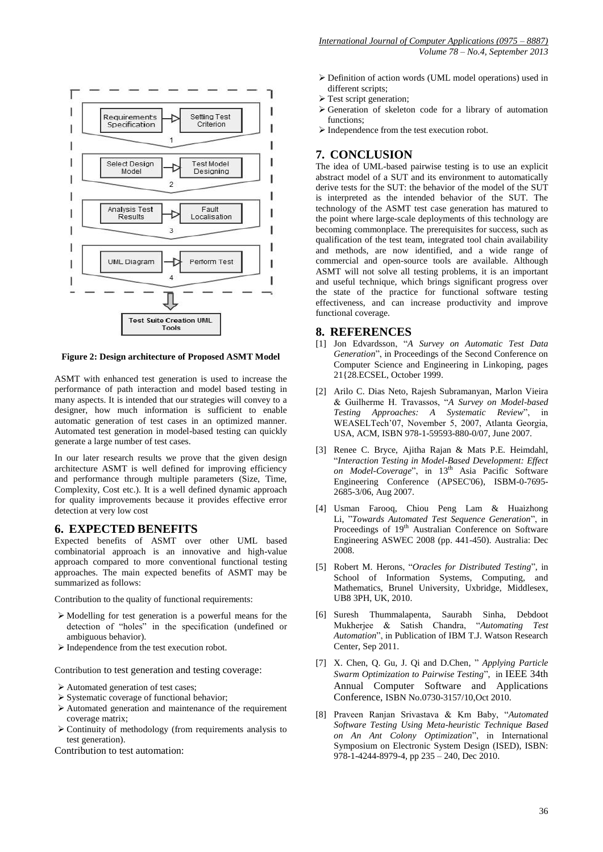

**Figure 2: Design architecture of Proposed ASMT Model**

ASMT with enhanced test generation is used to increase the performance of path interaction and model based testing in many aspects. It is intended that our strategies will convey to a designer, how much information is sufficient to enable automatic generation of test cases in an optimized manner. Automated test generation in model-based testing can quickly generate a large number of test cases.

In our later research results we prove that the given design architecture ASMT is well defined for improving efficiency and performance through multiple parameters (Size, Time, Complexity, Cost etc.). It is a well defined dynamic approach for quality improvements because it provides effective error detection at very low cost

#### **6. EXPECTED BENEFITS**

Expected benefits of ASMT over other UML based combinatorial approach is an innovative and high-value approach compared to more conventional functional testing approaches. The main expected benefits of ASMT may be summarized as follows:

Contribution to the quality of functional requirements:

- Modelling for test generation is a powerful means for the detection of "holes" in the specification (undefined or ambiguous behavior).
- Independence from the test execution robot.

Contribution to test generation and testing coverage:

- Automated generation of test cases;
- $\triangleright$  Systematic coverage of functional behavior;
- Automated generation and maintenance of the requirement coverage matrix;
- $\triangleright$  Continuity of methodology (from requirements analysis to test generation).

Contribution to test automation:

- Definition of action words (UML model operations) used in different scripts:
- > Test script generation;
- $\triangleright$  Generation of skeleton code for a library of automation functions;
- $\triangleright$  Independence from the test execution robot.

## **7. CONCLUSION**

The idea of UML-based pairwise testing is to use an explicit abstract model of a SUT and its environment to automatically derive tests for the SUT: the behavior of the model of the SUT is interpreted as the intended behavior of the SUT. The technology of the ASMT test case generation has matured to the point where large-scale deployments of this technology are becoming commonplace. The prerequisites for success, such as qualification of the test team, integrated tool chain availability and methods, are now identified, and a wide range of commercial and open-source tools are available. Although ASMT will not solve all testing problems, it is an important and useful technique, which brings significant progress over the state of the practice for functional software testing effectiveness, and can increase productivity and improve functional coverage.

#### **8. REFERENCES**

- [1] Jon Edvardsson, "*A Survey on Automatic Test Data Generation*", in Proceedings of the Second Conference on Computer Science and Engineering in Linkoping, pages 21{28.ECSEL, October 1999.
- [2] Arilo C. Dias Neto, Rajesh Subramanyan, Marlon Vieira & Guilherme H. Travassos, "*A Survey on Model-based Testing Approaches: A Systematic Review*", in WEASELTech'07, November 5, 2007, Atlanta Georgia, USA, ACM, ISBN 978-1-59593-880-0/07, June 2007.
- [3] Renee C. Bryce, Ajitha Rajan & Mats P.E. Heimdahl, "*Interaction Testing in Model-Based Development: Effect on Model-Coverage*", in 13th Asia Pacific Software Engineering Conference (APSEC'06), ISBM-0-7695- 2685-3/06, Aug 2007.
- [4] Usman Farooq, Chiou Peng Lam & Huaizhong Li, "*Towards Automated Test Sequence Generation*", in Proceedings of 19<sup>th</sup> Australian Conference on Software Engineering ASWEC 2008 (pp. 441-450). Australia: Dec 2008.
- [5] Robert M. Herons, "*Oracles for Distributed Testing*", in School of Information Systems, Computing, and Mathematics, Brunel University, Uxbridge, Middlesex, UB8 3PH, UK, 2010.
- [6] Suresh Thummalapenta, Saurabh Sinha, Debdoot Mukherjee & Satish Chandra, "*Automating Test Automation*", in Publication of IBM T.J. Watson Research Center, Sep 2011.
- [7] X. Chen, Q. Gu, J. Qi and D.Chen, " *Applying Particle Swarm Optimization to Pairwise Testing*", in IEEE 34th Annual Computer Software and Applications Conference, ISBN No.0730-3157/10,Oct 2010.
- [8] Praveen Ranjan Srivastava & Km Baby, "*Automated Software Testing Using Meta-heuristic Technique Based on An Ant Colony Optimization*", in International Symposium on Electronic System Design (ISED), ISBN: 978-1-4244-8979-4, pp 235 – 240, Dec 2010.